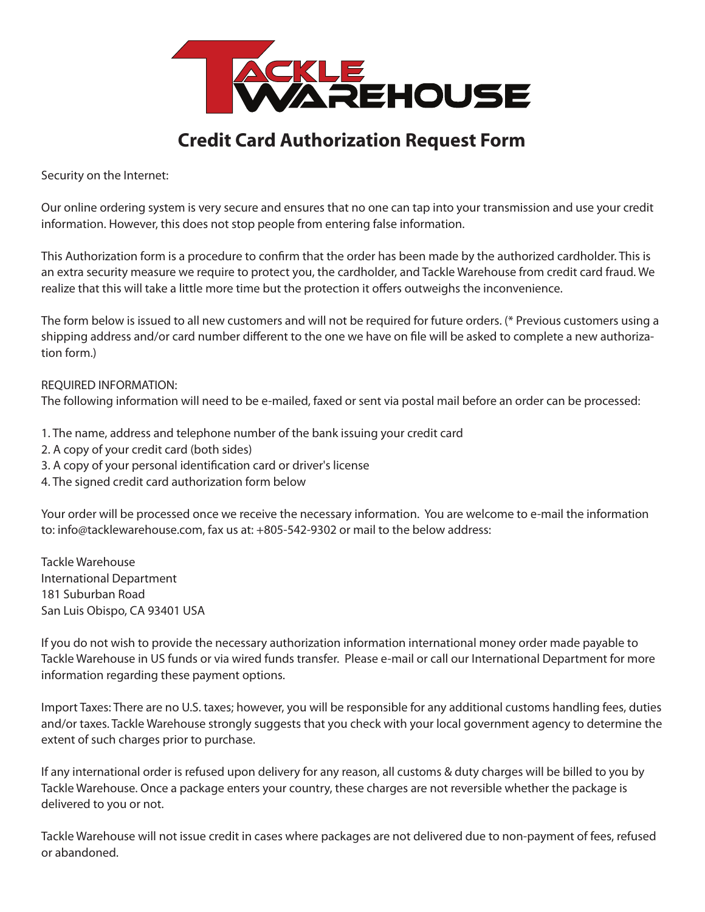

## **Credit Card Authorization Request Form**

Security on the Internet:

Our online ordering system is very secure and ensures that no one can tap into your transmission and use your credit information. However, this does not stop people from entering false information.

This Authorization form is a procedure to confirm that the order has been made by the authorized cardholder. This is an extra security measure we require to protect you, the cardholder, and Tackle Warehouse from credit card fraud. We realize that this will take a little more time but the protection it offers outweighs the inconvenience.

The form below is issued to all new customers and will not be required for future orders. (\* Previous customers using a shipping address and/or card number different to the one we have on file will be asked to complete a new authorization form.)

REQUIRED INFORMATION: The following information will need to be e-mailed, faxed or sent via postal mail before an order can be processed:

1. The name, address and telephone number of the bank issuing your credit card

- 2. A copy of your credit card (both sides)
- 3. A copy of your personal identification card or driver's license
- 4. The signed credit card authorization form below

Your order will be processed once we receive the necessary information. You are welcome to e-mail the information to: info@tacklewarehouse.com, fax us at: +805-542-9302 or mail to the below address:

Tackle Warehouse International Department 181 Suburban Road San Luis Obispo, CA 93401 USA

If you do not wish to provide the necessary authorization information international money order made payable to Tackle Warehouse in US funds or via wired funds transfer. Please e-mail or call our International Department for more information regarding these payment options.

Import Taxes: There are no U.S. taxes; however, you will be responsible for any additional customs handling fees, duties and/or taxes. Tackle Warehouse strongly suggests that you check with your local government agency to determine the extent of such charges prior to purchase.

If any international order is refused upon delivery for any reason, all customs & duty charges will be billed to you by Tackle Warehouse. Once a package enters your country, these charges are not reversible whether the package is delivered to you or not.

Tackle Warehouse will not issue credit in cases where packages are not delivered due to non-payment of fees, refused or abandoned.